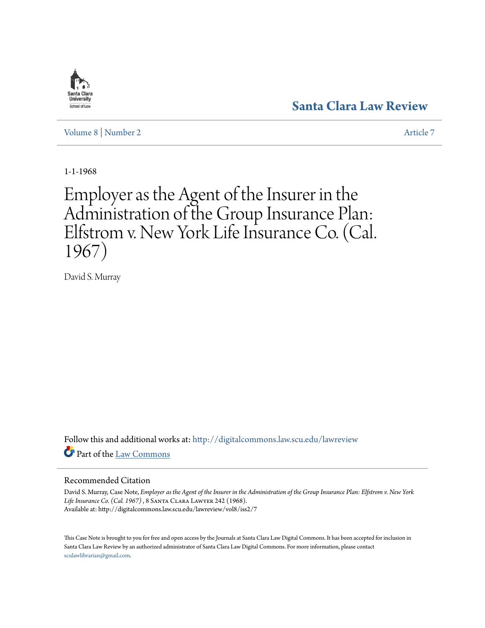# **[Santa Clara Law Review](http://digitalcommons.law.scu.edu/lawreview?utm_source=digitalcommons.law.scu.edu%2Flawreview%2Fvol8%2Fiss2%2F7&utm_medium=PDF&utm_campaign=PDFCoverPages)**

[Volume 8](http://digitalcommons.law.scu.edu/lawreview/vol8?utm_source=digitalcommons.law.scu.edu%2Flawreview%2Fvol8%2Fiss2%2F7&utm_medium=PDF&utm_campaign=PDFCoverPages) | [Number 2](http://digitalcommons.law.scu.edu/lawreview/vol8/iss2?utm_source=digitalcommons.law.scu.edu%2Flawreview%2Fvol8%2Fiss2%2F7&utm_medium=PDF&utm_campaign=PDFCoverPages) [Article 7](http://digitalcommons.law.scu.edu/lawreview/vol8/iss2/7?utm_source=digitalcommons.law.scu.edu%2Flawreview%2Fvol8%2Fiss2%2F7&utm_medium=PDF&utm_campaign=PDFCoverPages)

1-1-1968

# Employer as the Agent of the Insurer in the Administration of the Group Insurance Plan: Elfstrom v. New York Life Insurance Co. (Cal. 1967)

David S. Murray

Follow this and additional works at: [http://digitalcommons.law.scu.edu/lawreview](http://digitalcommons.law.scu.edu/lawreview?utm_source=digitalcommons.law.scu.edu%2Flawreview%2Fvol8%2Fiss2%2F7&utm_medium=PDF&utm_campaign=PDFCoverPages) Part of the [Law Commons](http://network.bepress.com/hgg/discipline/578?utm_source=digitalcommons.law.scu.edu%2Flawreview%2Fvol8%2Fiss2%2F7&utm_medium=PDF&utm_campaign=PDFCoverPages)

## Recommended Citation

David S. Murray, Case Note, *Employer as the Agent of the Insurer in the Administration of the Group Insurance Plan: Elfstrom v. New York Life Insurance Co. (Cal. 1967)*, 8 Santa Clara Lawyer 242 (1968). Available at: http://digitalcommons.law.scu.edu/lawreview/vol8/iss2/7

This Case Note is brought to you for free and open access by the Journals at Santa Clara Law Digital Commons. It has been accepted for inclusion in Santa Clara Law Review by an authorized administrator of Santa Clara Law Digital Commons. For more information, please contact [sculawlibrarian@gmail.com](mailto:sculawlibrarian@gmail.com).

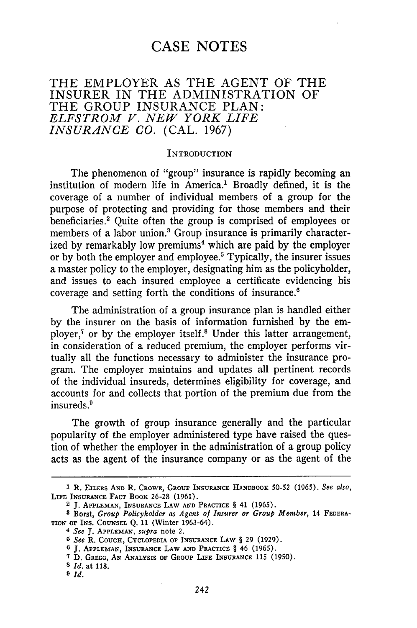# **CASE NOTES**

# THE EMPLOYER AS THE AGENT OF THE INSURER IN THE ADMINISTRATION OF THE GROUP INSURANCE PLAN: *ELFSTROM V. NEW YORK LIFE INSURANCE CO.* (CAL. 1967)

## **INTRODUCTION**

The phenomenon of "group" insurance is rapidly becoming an institution of modern life in America.' Broadly defined, it is the coverage of a number of individual members of a group for the purpose of protecting and providing for those members and their beneficiaries.' Quite often the group is comprised of employees or members of a labor union.' Group insurance is primarily characterized by remarkably low premiums<sup>4</sup> which are paid by the employer or by both the employer and employee.5 Typically, the insurer issues a master policy to the employer, designating him as the policyholder, and issues to each insured employee a certificate evidencing his coverage and setting forth the conditions of insurance.<sup>6</sup>

The administration of a group insurance plan is handled either by the insurer on the basis of information furnished by the employer,<sup>7</sup> or by the employer itself.<sup>8</sup> Under this latter arrangement, in consideration of a reduced premium, the employer performs virtually all the functions necessary to administer the insurance program. The employer maintains and updates all pertinent records of the individual insureds, determines eligibility for coverage, and accounts for and collects that portion of the premium due from the insureds.'

The growth of group insurance generally and the particular popularity of the employer administered type have raised the question of whether the employer in the administration of a group policy acts as the agent of the insurance company or as the agent of the

**<sup>1</sup>**R. **EILERS AND** R. CROWE, **GROUP** INSURANCE **HANDBOOK** 50-52 (1965). *See also,* LIFE **INSURANCE** FACT BOOK 26-28 **(1961).**

<sup>2</sup> **J. APPLEMAN,** INSURANCE LAW **AND** PRACTICE § 41 (1965).

**<sup>8</sup>** Borst, *Group Policyholder as Agent of Insurer or Group Member,* 14 FEDERA-TION **OF INS. COUNSEL** Q. 11 (Winter 1963-64).

<sup>4</sup>*See* J. **APPLEMAN,** *supra* note 2.

*<sup>5</sup> See* R. **COUCH,** CYCLOPEDIA OF **INSURANCE LAW** § 29 (1929).

**<sup>6</sup> J. APPLEMAN, INSURANCE** LAW **AND** PRACTICE § 46 (1965).

**<sup>7</sup>**D. GREGG, **AN ANALYSIS** OF **GROUP** LIFE **INSURANCE 115** (1950).

**<sup>8</sup>** *Id.* at **118.**

**<sup>9</sup>** *Id.*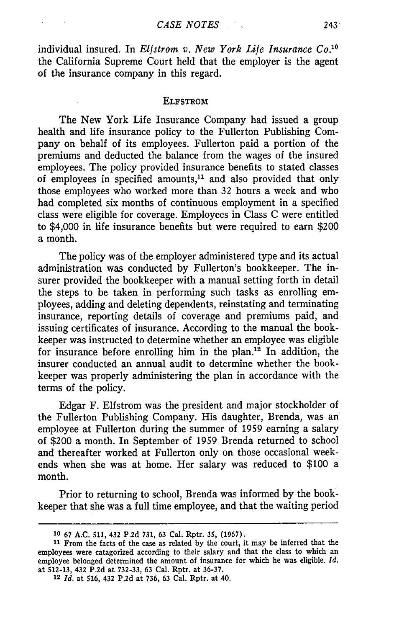individual insured. In *Elfstrom v. New York Life Insurance Co.<sup>10</sup>* the California Supreme Court held that the employer is the agent of the insurance company in this regard.

#### ELFSTROM

The New York Life Insurance Company had issued a group health and life insurance policy to the Fullerton Publishing Company on behalf of its employees. Fullerton paid a portion of the premiums and deducted the balance from the wages of the insured employees. The policy provided insurance benefits to stated classes of employees in specified amounts,<sup>11</sup> and also provided that only those employees who worked more than **32** hours a week and who had completed six months of continuous employment in a specified class were eligible for coverage. Employees in Class C were entitled to \$4,000 in life insurance benefits but were required to earn \$200 a month.

The policy was of the employer administered type and its actual administration was conducted by Fullerton's bookkeeper. The insurer provided the bookkeeper with a manual setting forth in detail the steps to be taken in performing such tasks as enrolling employees, adding and deleting dependents, reinstating and terminating insurance, reporting details of coverage and premiums paid, and issuing certificates of insurance. According to the manual the bookkeeper was instructed to determine whether an employee was eligible for insurance before enrolling him in the plan.<sup>12</sup> In addition, the insurer conducted an annual audit to determine whether the bookkeeper was properly administering the plan in accordance with the terms of the policy.

Edgar F. Elfstrom was the president and major stockholder of the Fullerton Publishing Company. His daughter, Brenda, was an employee at Fullerton during the summer of 1959 earning a salary of \$200 a month. In September of 1959 Brenda returned to school and thereafter worked at Fullerton only on those occasional weekends when she was at home. Her salary was reduced to \$100 a month.

Prior to returning to school, Brenda was informed by the bookkeeper that she was a full time employee, and that the waiting period

**<sup>10 67</sup> A.C. 511, 432 P.2d 731, 63** Cal. **Rptr. 35, (1967).**

**<sup>11</sup>**From the facts of the case as related by the court, it may be inferred that the employees were catagorized according to their salary and that the class to which an employee belonged determined the amount of insurance for which he was eligible. *Id.* at 512-13, 432 P.2d at 732-33, 63 Cal. Rptr. at 36-37.

<sup>12</sup> *Id.* at 516, 432 P.2d at 736, 63 Cal. Rptr. at 40.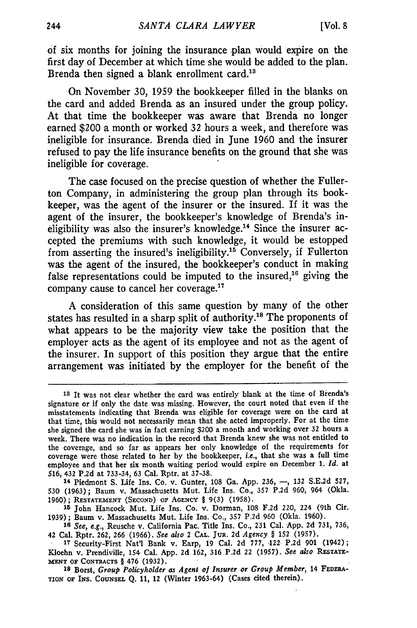of six months for joining the insurance plan would expire on the first day of December at which time she would be added to the plan. Brenda then signed a blank enrollment card.<sup>18</sup>

On November **30,** 1959 the bookkeeper filled in the blanks on the card and added Brenda as an insured under the group policy. At that time the bookkeeper was aware that Brenda no longer earned \$200 a month or worked **32** hours a week, and therefore was ineligible for insurance. Brenda died in June 1960 and the insurer refused to pay the life insurance benefits on the ground that she was ineligible for coverage.

The case focused on the precise question of whether the Fullerton Company, in administering the group plan through its bookkeeper, was the agent of the insurer or the insured. If it was the agent of the insurer, the bookkeeper's knowledge of Brenda's ineligibility was also the insurer's knowledge.<sup>14</sup> Since the insurer accepted the premiums with such knowledge, it would be estopped from asserting the insured's ineligibility.<sup>15</sup> Conversely, if Fullerton was the agent of the insured, the bookkeeper's conduct in making false representations could be imputed to the insured,<sup>16</sup> giving the company cause to cancel her coverage.'

A consideration of this same question by many of the other states has resulted in a sharp split of authority.<sup>18</sup> The proponents of what appears to be the majority view take the position that the employer acts as the agent of its employee and not as the agent of the insurer. In support of this position they argue that the entire arrangement was initiated by the employer for the benefit of the

18 Borst, *Group Policyholder as Agent of Insurer or Group Member*, 14 FEDERA-**TION OF INS. COUNSEL Q. 11,** 12 (Winter **1963-64)** (Cases cited therein).

**<sup>13</sup>**It was not clear whether the card was entirely blank at the time of Brenda's signature or if only the date was missing. However, the court noted that even if the misstatements indicating that Brenda was eligible for coverage were on the card at that time, this would not necessarily mean that she acted improperly. For at the time she signed the card she was in fact earning \$200 a month and working over **32** hours a week. There was no indication in the record that Brenda knew she was not entitled to the coverage, and so far as appears her only knowledge of the requirements for coverage were those related to her by the bookkeeper, *i.e.,* that she was a full time employee and that her six month waiting period would expire on December 1. *id.* at 516, **432** P.2d at **733-34, 63** Cal. Rptr. at 37-38.

**<sup>14</sup>** Piedmont S. Life Ins. Co. v. Gunter, **108** Ga. App. 236, **-, 132** S.E.2d 527, 530 (1963); Baum v. Massachusetts Mut. Life Ins. Co., **357** P.2d 960, 964 (Okla. **1960); RESTATEMENT (SECOND)** OF **AGENCY** § 9(3) **(1958).**

**<sup>15</sup>** John Hancock Mut. Life Ins. Co. v. Dorman, **108** F.2d 220, 224 (9th Cir. 1939); Baum v. Massachusetts Mut. Life Ins. Co., **357** P.2d 960 (Okla. 1960).

**<sup>16</sup>** *See, e.g.,* Reusche v. California Pac. Title Ins. Co., **231** Cal. App. **2d** 731, **736,** 42 Cal. Rptr. **262, 266** (1966). *See also* 2 CAL. **JUR. 2d** *Agency §* **152** (1957).

**<sup>17</sup>**Security-First Nat'l Bank v. Earp, 19 Cal. **2d 777,** 122 P.2d **901** (1942); Kloehn v. Prendiville, 154 Cal. App. **2d** 162, 316 P.2d 22 (1957). *See also* RESTATE-**MXNT OF CONTRACTS** § 476 (1932).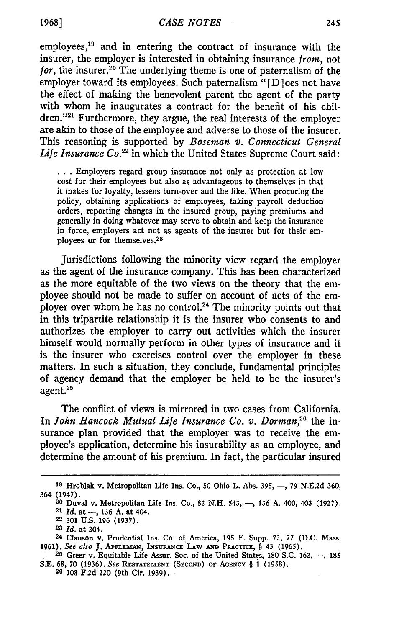employees,<sup>19</sup> and in entering the contract of insurance with the insurer, the employer is interested in obtaining insurance *from,* not for, the insurer.<sup>20</sup> The underlying theme is one of paternalism of the employer toward its employees. Such paternalism "[D]oes not have the effect of making the benevolent parent the agent of the party with whom he inaugurates a contract for the benefit of his children."<sup>21</sup> Furthermore, they argue, the real interests of the employer are akin to those of the employee and adverse to those of the insurer. This reasoning is supported by *Boseman v. Connecticut General* Life Insurance Co.<sup>22</sup> in which the United States Supreme Court said:

**• ..**Employers regard group insurance not only as protection at low cost for their employees but also as advantageous to themselves in that it makes for loyalty, lessens turn-over and the like. When procuring the policy, obtaining applications of employees, taking payroll deduction orders, reporting changes in the insured group, paying premiums and generally in doing whatever may serve to obtain and keep the insurance in force, employers act not as agents of the insurer but for their employees or for themselves. <sup>23</sup>

Jurisdictions following the minority view regard the employer as the agent of the insurance company. This has been characterized as the more equitable of the two views on the theory that the employee should not be made to suffer on account of acts of the employer over whom he has no control.<sup>24</sup> The minority points out that in this tripartite relationship it is the insurer who consents to and authorizes the employer to carry out activities which the insurer himself would normally perform in other types of insurance and it is the insurer who exercises control over the employer in these matters. In such a situation, they conclude, fundamental principles of agency demand that the employer be held to be the insurer's agent.<sup>28</sup>

The conflict of views is mirrored in two cases from California. In *John Hancock Mutual Life Insurance Co. v. Dorman*,<sup>26</sup> the insurance plan provided that the employer was to receive the employee's application, determine his insurability as an employee, and determine the amount of his premium. In fact, the particular insured

**<sup>19</sup>**Hroblak v. Metropolitan Life Ins. Co., **50** Ohio L. Abs. 395, **-,** 79 N.E.2d 360, 364 (1947).

**<sup>20</sup>** Duval v. Metropolitan Life Ins. Co., 82 N.H. 543, **-,** 136 A. 400, 403 (1927). 21 *Id.* at **-,** 136 A. at 404.

**<sup>22</sup>** 301 **U.S.** 196 (1937).

**<sup>23</sup>***Id.* at 204.

<sup>24</sup> Clauson v. Prudential Ins. Co. of America, 195 F. Supp. 72, 77 (D.C. Mass. 1961). *See also* J. **APPLEMAN, INSURANCE** LAW **AND** PaCTICE, § 43 (1965).

<sup>&</sup>lt;sup>25</sup> Greer v. Equitable Life Assur. Soc. of the United States, 180 S.C. 162, --, 185 **S.E.** 68, 70 (1936). *See* **RESTATEMENT (SECOND)** OF **AGENCY** § 1 (1958).

**<sup>26</sup>**108 F.2d 220 (9th Cir. 1939).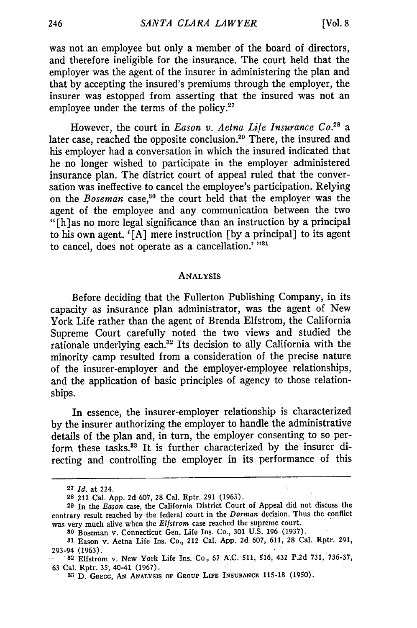was not an employee but only a member of the board of directors, and therefore ineligible for the insurance. The court held that the employer was the agent of the insurer in administering the plan and that by accepting the insured's premiums through the employer, the insurer was estopped from asserting that the insured was not an employee under the terms of the policy.<sup>27</sup>

However, the court in *Eason v. Aetna Life Insurance Co.<sup>2</sup> <sup>8</sup>*a later case, reached the opposite conclusion.<sup>29</sup> There, the insured and his employer had a conversation in which the insured indicated that he no longer wished to participate in the employer administered insurance plan. The district court of appeal ruled that the conversation was ineffective to cancel the employee's participation. Relying on the *Boseman* case,<sup>80</sup> the court held that the employer was the agent of the employee and any communication between the two "[h] as no more legal significance than an instruction by a principal to his own agent. '[A] mere instruction [by a principal] to its agent to cancel, does not operate as a cancellation.' <sup>1931</sup>

#### ANALYSIS

Before deciding that the Fullerton Publishing Company, in its capacity as insurance plan administrator, was the agent of New York Life rather than the agent of Brenda Elfstrom, the California Supreme Court carefully noted the two views and studied the rationale underlying each.<sup>32</sup> Its decision to ally California with the minority camp resulted from a consideration of the precise nature of the insurer-employer and the employer-employee relationships, and the application of basic principles of agency to those relationships.

In essence, the insurer-employer relationship is characterized by the insurer authorizing the employer to handle the administrative details of the plan and, in turn, the employer consenting to so perform these tasks.<sup>33</sup> It is further characterized by the insurer directing and controlling the employer in its performance of this

Ä.

**<sup>27</sup>** *Id.* at 224.

**<sup>28</sup>** 212 Cal. App. 2d 607, 28 Cal. Rptr. 291 (1963).

**<sup>29</sup>**In the *Eason* case, the California District Court of Appeal did not discuss the contrary result reached by the federal court in the *Dorman* decision. Thus the conflict was very much alive when the Elfstrom case reached the supreme court.

**<sup>80</sup>** Boseman v. Connecticut Gen. Life Ins. Co., 301 U.S. **196** (1937).

**<sup>31</sup>**Eason v. Aetna Life Ins. Co., 212 Cal. App. 2d 607, 611, 28 Cal. Rptr. 291, 293-94 **(1963).**

**<sup>32</sup>** Elfstrom v. New York Life Ins. Co., **67** A.C. 511, 516, 432 P.2d 731, 736-37, 63 Cal. Rptr. 35, 40-41 (1967).

**<sup>83</sup> D. GREGG, AN ANALYSIS OF GRouP LI'E INsURANcE 115-18 (1950).**